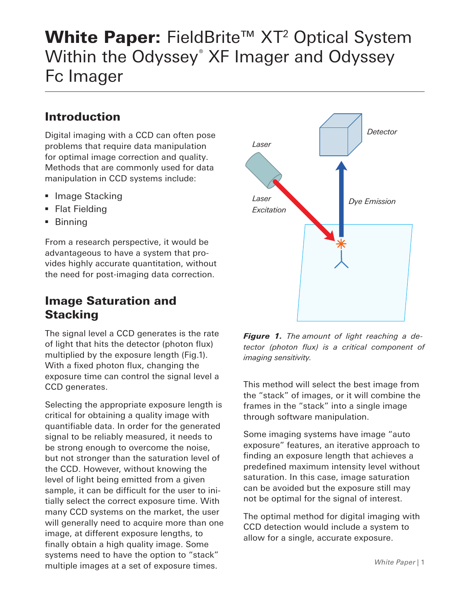# White Paper: FieldBrite<sup>™</sup> XT<sup>2</sup> Optical System Within the Odyssey ® XF Imager and Odyssey Fc Imager

# Introduction

Digital imaging with a CCD can often pose problems that require data manipulation for optimal image correction and quality. Methods that are commonly used for data manipulation in CCD systems include:

- Image Stacking
- Flat Fielding
- § Binning

From a research perspective, it would be advantageous to have a system that provides highly accurate quantitation, without the need for post-imaging data correction.

# Image Saturation and **Stacking**

The signal level a CCD generates is the rate of light that hits the detector (photon flux) multiplied by the exposure length (Fig.1). With a fixed photon flux, changing the exposure time can control the signal level a CCD generates.

Selecting the appropriate exposure length is critical for obtaining a quality image with quantifiable data. In order for the generated signal to be reliably measured, it needs to be strong enough to overcome the noise, but not stronger than the saturation level of the CCD. However, without knowing the level of light being emitted from a given sample, it can be difficult for the user to initially select the correct exposure time. With many CCD systems on the market, the user will generally need to acquire more than one image, at different exposure lengths, to finally obtain a high quality image. Some systems need to have the option to "stack" multiple images at a set of exposure times.



*Figure 1. The amount of light reaching a detector (photon flux) is a critical component of imaging sensitivity.*

This method will select the best image from the "stack" of images, or it will combine the frames in the "stack" into a single image through software manipulation.

Some imaging systems have image "auto exposure" features, an iterative approach to finding an exposure length that achieves a predefined maximum intensity level without saturation. In this case, image saturation can be avoided but the exposure still may not be optimal for the signal of interest.

The optimal method for digital imaging with CCD detection would include a system to allow for a single, accurate exposure.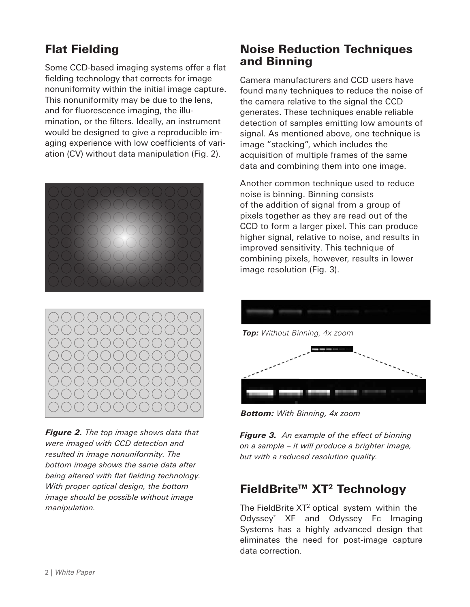# Flat Fielding

Some CCD-based imaging systems offer a flat fielding technology that corrects for image nonuniformity within the initial image capture. This nonuniformity may be due to the lens, and for fluorescence imaging, the illumination, or the filters. Ideally, an instrument would be designed to give a reproducible imaging experience with low coefficients of variation (CV) without data manipulation (Fig. 2).





*Figure 2. The top image shows data that were imaged with CCD detection and resulted in image nonuniformity. The bottom image shows the same data after being altered with flat fielding technology. With proper optical design, the bottom image should be possible without image manipulation.*

#### Noise Reduction Techniques and Binning

Camera manufacturers and CCD users have found many techniques to reduce the noise of the camera relative to the signal the CCD generates. These techniques enable reliable detection of samples emitting low amounts of signal. As mentioned above, one technique is image "stacking", which includes the acquisition of multiple frames of the same data and combining them into one image.

Another common technique used to reduce noise is binning. Binning consists of the addition of signal from a group of pixels together as they are read out of the CCD to form a larger pixel. This can produce higher signal, relative to noise, and results in improved sensitivity. This technique of combining pixels, however, results in lower image resolution (Fig. 3).



*Bottom: With Binning, 4x zoom*

*Figure 3. An example of the effect of binning on a sample – it will produce a brighter image, but with a reduced resolution quality.*

#### FieldBrite™ XT<sup>2</sup> Technology

The FieldBrite XT<sup>2</sup> optical system within the Odyssey® XF and Odyssey Fc Imaging Systems has a highly advanced design that eliminates the need for post-image capture data correction.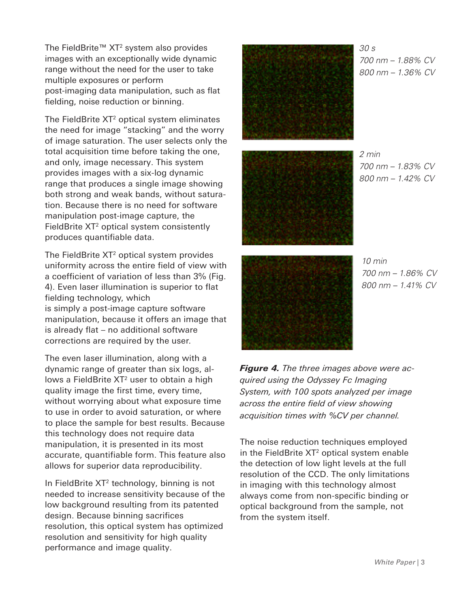The FieldBrite™ XT<sup>2</sup> system also provides images with an exceptionally wide dynamic range without the need for the user to take multiple exposures or perform post-imaging data manipulation, such as flat fielding, noise reduction or binning.

The FieldBrite XT<sup>2</sup> optical system eliminates the need for image "stacking" and the worry of image saturation. The user selects only the total acquisition time before taking the one, and only, image necessary. This system provides images with a six-log dynamic range that produces a single image showing both strong and weak bands, without saturation. Because there is no need for software manipulation post-image capture, the FieldBrite  $XT<sup>2</sup>$  optical system consistently produces quantifiable data.

The FieldBrite  $XT^2$  optical system provides uniformity across the entire field of view with a coefficient of variation of less than 3% (Fig. 4). Even laser illumination is superior to flat fielding technology, which is simply a post-image capture software manipulation, because it offers an image that is already flat – no additional software corrections are required by the user.

The even laser illumination, along with a dynamic range of greater than six logs, allows a FieldBrite  $XT<sup>2</sup>$  user to obtain a high quality image the first time, every time, without worrying about what exposure time to use in order to avoid saturation, or where to place the sample for best results. Because this technology does not require data manipulation, it is presented in its most accurate, quantifiable form. This feature also allows for superior data reproducibility.

In FieldBrite XT<sup>2</sup> technology, binning is not needed to increase sensitivity because of the low background resulting from its patented design. Because binning sacrifices resolution, this optical system has optimized resolution and sensitivity for high quality performance and image quality.



*30 s 700 nm – 1.88% CV 800 nm – 1.36% CV*



*2 min 700 nm – 1.83% CV 800 nm – 1.42% CV*



*10 min 700 nm – 1.86% CV 800 nm – 1.41% CV*

*Figure 4. The three images above were acquired using the Odyssey Fc Imaging System, with 100 spots analyzed per image across the entire field of view showing acquisition times with %CV per channel.*

The noise reduction techniques employed in the FieldBrite  $XT<sup>2</sup>$  optical system enable the detection of low light levels at the full resolution of the CCD. The only limitations in imaging with this technology almost always come from non-specific binding or optical background from the sample, not from the system itself.